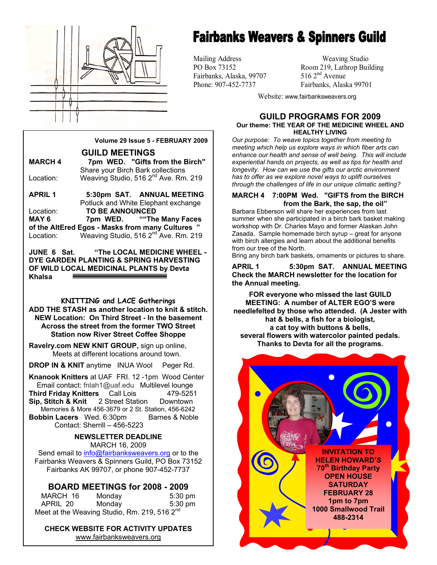

## **Fairbanks Weavers & Spinners Guild**

Fairbanks, Alaska, 99707

Mailing Address Weaving Studio PO Box 73152 Room 219, Lathrop Building<br>Fairbanks. Alaska. 99707 516 2<sup>nd</sup> Avenue Phone: 907-452-7737 Fairbanks, Alaska 99701

Website: www.fairbanksweavers.org

#### **GUILD PROGRAMS FOR 2009 Our theme: THE YEAR OF THE MEDICINE WHEEL AND HEALTHY LIVING**

*Our purpose: To weave topics together from meeting to meeting which help us explore ways in which fiber arts can enhance our health and sense of well being. This will include experiential hands on projects, as well as tips for health and longevity. How can we use the gifts our arctic environment has to offer as we explore novel ways to uplift ourselves through the challenges of life in our unique climatic setting?* 

#### **MARCH 4 7:00PM Wed. "GIFTS from the BIRCH from the Bark, the sap, the oil"**

Barbara Ebberson will share her experiences from last summer when she participated in a birch bark basket making workshop with Dr. Charles Mayo and former Alaskan John Zasada. Sample homemade birch syrup – great for anyone with birch allergies and learn about the additional benefits from our tree of the North.

Bring any birch bark baskets, ornaments or pictures to share.

**APRIL 1 5:30pm SAT. ANNUAL MEETING Check the MARCH newsletter for the location for the Annual meeting.** 

**FOR everyone who missed the last GUILD MEETING: A number of ALTER EGO'S were needlefelted by those who attended. (A Jester with hat & bells, a fish for a biologist, a cat toy with buttons & bells, several flowers with watercolor painted pedals. Thanks to Devta for all the programs.** 



**Volume 29 Issue 5 - FEBRUARY 2009** 

**GUILD MEETINGS MARCH 4 7pm WED. "Gifts from the Birch"**  Share your Birch Bark collections Location: Weaving Studio, 516 2<sup>nd</sup> Ave. Rm. 219

**APRIL 1 5:30pm SAT. ANNUAL MEETING**  Potluck and White Elephant exchange Location: **TO BE ANNOUNCED MAY 6 7pm WED. ""The Many Faces of the AltEred Egos - Masks from many Cultures "**  Location: Weaving Studio, 516 2<sup>nd</sup> Ave. Rm. 219

**JUNE 6 Sat. "The LOCAL MEDICINE WHEEL - DYE GARDEN PLANTING & SPRING HARVESTING OF WILD LOCAL MEDICINAL PLANTS by Devta Khalsa** 

**KNITTING and LACE Gatherings** 

**ADD THE STASH as another location to knit & stitch. NEW Location: On Third Street - In the basement Across the street from the former TWO Street Station now River Street Coffee Shoppe** 

**Ravelry.com NEW KNIT GROUP,** sign up online, Meets at different locations around town.

**DROP IN & KNIT** anytime INUA Wool Peger Rd.

**Knanook Knitters** at UAF FRI. 12 -1pm Wood Center Email contact: fnlah1@uaf.edu Multilevel lounge<br> **hird Fridav Knitters** Call Lois 479-5251 **Third Friday Knitters** Call Lois **Sip, Stitch & Knit** 2 Street Station Downtown Memories & More 456-3679 or 2 St. Station, 456-6242 **Bobbin Lacers** Wed. 6:30pm Barnes & Noble Contact: Sherrill – 456-5223

#### **NEWSLETTER DEADLINE**  MARCH 16, 2009

Send email to info@fairbanksweavers.org or to the Fairbanks Weavers & Spinners Guild, PO Box 73152 Fairbanks AK 99707, or phone 907-452-7737

#### **BOARD MEETINGS for 2008 - 2009**

| MARCH 16                                                 | Monday | $5:30$ pm |  |  |
|----------------------------------------------------------|--------|-----------|--|--|
| APRIL 20                                                 | Mondav | $5:30$ pm |  |  |
| Meet at the Weaving Studio, Rm. 219, 516 2 <sup>nd</sup> |        |           |  |  |

**CHECK WEBSITE FOR ACTIVITY UPDATES**  www.fairbanksweavers.org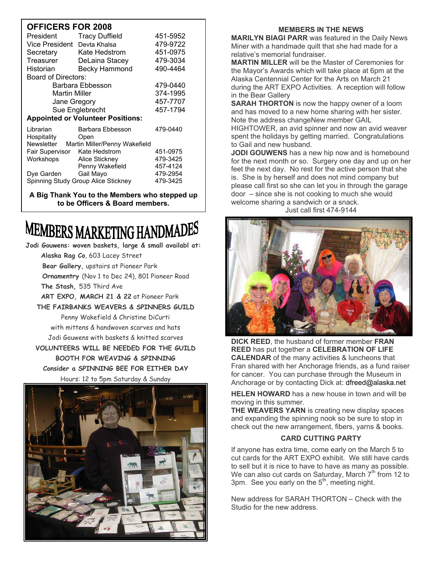### **OFFICERS FOR 2008**

| JI I IVLINU I                               |                       |          |  |
|---------------------------------------------|-----------------------|----------|--|
| President                                   | <b>Tracy Duffield</b> | 451-5952 |  |
| Vice President Devta Khalsa                 |                       | 479-9722 |  |
| Secretary                                   | Kate Hedstrom         | 451-0975 |  |
| Treasurer                                   | DeLaina Stacey        | 479-3034 |  |
| Historian                                   | <b>Becky Hammond</b>  | 490-4464 |  |
| Board of Directors:                         |                       |          |  |
| Barbara Ebbesson                            |                       | 479-0440 |  |
| Martin Miller                               |                       | 374-1995 |  |
| Jane Gregory                                |                       | 457-7707 |  |
| Sue Englebrecht                             |                       | 457-1794 |  |
| <b>Appointed or Volunteer Positions:</b>    |                       |          |  |
| Librarian                                   | Barbara Ebbesson      | 479-0440 |  |
| Hospitality                                 | Open                  |          |  |
| Newsletter<br>Martin Miller/Penny Wakefield |                       |          |  |
| Fair Supervisor                             | Kate Hedstrom         | 451-0975 |  |
| Workshops                                   | Alice Stickney        | 479-3425 |  |
|                                             | Penny Wakefield       | 457-4124 |  |
| Dye Garden                                  | Gail Mayo             | 479-2954 |  |
| Spinning Study Group Alice Stickney         |                       | 479-3425 |  |

**A Big Thank You to the Members who stepped up to be Officers & Board members.**

# **MEMBERS MARKETING HANDMADES**

**Jodi Gouwens: woven baskets, large & small availabl at: Alaska Rag Co**, 603 Lacey Street  **Bear Gallery,** upstairs at Pioneer Park  **Ornamentry** (Nov 1 to Dec 24), 801 Pioneer Road **The Stash,** 535 Third Ave **ART EXPO, MARCH 21 & 22** at Pioneer Park **THE FAIRBANKS WEAVERS & SPINNERS GUILD**  Penny Wakefield & Christine DiCurti with mittens & handwoven scarves and hats Jodi Gouwens with baskets & knitted scarves **VOLUNTEERS WILL BE NEEDED FOR THE GUILD BOOTH FOR WEAVING & SPINNING Consider a SPINNING BEE FOR EITHER DAY**  Hours: 12 to 5pm Saturday & Sunday



#### **MEMBERS IN THE NEWS**

**MARILYN BIAGI PARR** was featured in the Daily News Miner with a handmade quilt that she had made for a relative's memorial fundraiser.

**MARTIN MILLER** will be the Master of Ceremonies for the Mayor's Awards which will take place at 6pm at the Alaska Centennial Center for the Arts on March 21 during the ART EXPO Activities. A reception will follow in the Bear Gallery

**SARAH THORTON** is now the happy owner of a loom and has moved to a new home sharing with her sister. Note the address changeNew member GAIL

HIGHTOWER, an avid spinner and now an avid weaver spent the holidays by getting married. Congratulations to Gail and new husband.

**JODI GOUWENS** has a new hip now and is homebound for the next month or so. Surgery one day and up on her feet the next day. No rest for the active person that she is. She is by herself and does not mind company but please call first so she can let you in through the garage door – since she is not cooking to much she would welcome sharing a sandwich or a snack.

Just call first 474-9144



**DICK REED**, the husband of former member **FRAN REED** has put together a **CELEBRATION OF LIFE CALENDAR** of the many activities & luncheons that Fran shared with her Anchorage friends, as a fund raiser for cancer. You can purchase through the Museum in Anchorage or by contacting Dick at: dfreed@alaska.net

**HELEN HOWARD** has a new house in town and will be moving in this summer.

**THE WEAVERS YARN** is creating new display spaces and expanding the spinning nook so be sure to stop in check out the new arrangement, fibers, yarns & books.

#### **CARD CUTTING PARTY**

If anyone has extra time, come early on the March 5 to cut cards for the ART EXPO exhibit. We still have cards to sell but it is nice to have to have as many as possible. We can also cut cards on Saturday, March 7<sup>th</sup> from 12 to 3pm. See you early on the  $5<sup>th</sup>$ , meeting night.

New address for SARAH THORTON – Check with the Studio for the new address.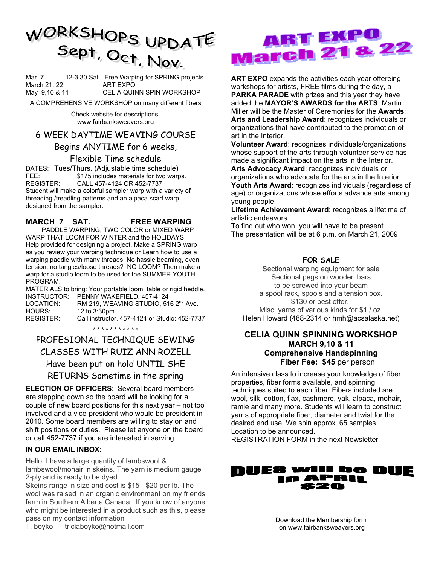

Mar. 7 12-3:30 Sat. Free Warping for SPRING projects March 21, 22 ART EXPO May 9,10 & 11 CELIA QUINN SPIN WORKSHOP

A COMPREHENSIVE WORKSHOP on many different fibers

Check website for descriptions. www.fairbanksweavers.org

#### 6 WEEK DAYTIME WEAVING COURSE

#### Begins ANYTIME for 6 weeks,

#### Flexible Time schedule

DATES: Tues/Thurs. (Adjustable time schedule) FEE: \$175 includes materials for two warps. REGISTER: CALL 457-4124 OR 452-7737 Student will make a colorful sampler warp with a variety of threading /treadling patterns and an alpaca scarf warp designed from the sampler.

#### **MARCH 7 SAT. FREE WARPING**

 PADDLE WARPING, TWO COLOR or MIXED WARP WARP THAT LOOM FOR WINTER and the HOLIDAYS Help provided for designing a project. Make a SPRING warp as you review your warping technique or Learn how to use a warping paddle with many threads. No hassle beaming, even tension, no tangles/loose threads? NO LOOM? Then make a warp for a studio loom to be used for the SUMMER YOUTH PROGRAM.

MATERIALS to bring: Your portable loom, table or rigid heddle. INSTRUCTOR: PENNY WAKEFIELD, 457-4124 LOCATION: RM 219, WEAVING STUDIO, 516 2<sup>nd</sup> Ave. HOURS: 12 to 3:30pm REGISTER: Call instructor, 457-4124 or Studio: 452-7737

\*\*\*\*\*\*\*\*\*\*\*

### PROFESIONAL TECHNIQUE SEWING CLASSES WITH RUIZ ANN ROZELL Have been put on hold UNTIL SHE RETURNS Sometime in the spring

**ELECTION OF OFFICERS**: Several board members are stepping down so the board will be looking for a couple of new board positions for this next year – not too involved and a vice-president who would be president in 2010. Some board members are willing to stay on and shift positions or duties. Please let anyone on the board or call 452-7737 if you are interested in serving.

#### **IN OUR EMAIL INBOX:**

Hello, I have a large quantity of lambswool & lambswool/mohair in skeins. The yarn is medium gauge 2-ply and is ready to be dyed.

Skeins range in size and cost is \$15 - \$20 per lb. The wool was raised in an organic environment on my friends farm in Southern Alberta Canada. If you know of anyone who might be interested in a product such as this, please pass on my contact information

T. boyko triciaboyko@hotmail.com

# ABT EXPO **March 21 & 22**

**ART EXPO** expands the activities each year offereing workshops for artists, FREE films during the day, a **PARKA PARADE** with prizes and this year they have added the **MAYOR'S AWARDS for the ARTS**. Martin Miller will be the Master of Ceremonies for the **Awards**: **Arts and Leadership Award**: recognizes individuals or organizations that have contributed to the promotion of art in the Interior.

**Volunteer Award**: recognizes individuals/organizations whose support of the arts through volunteer service has made a significant impact on the arts in the Interior. **Arts Advocacy Award**: recognizes individuals or organizations who advocate for the arts in the Interior. **Youth Arts Award**: recognizes individuals (regardless of age) or organizations whose efforts advance arts among young people.

**Lifetime Achievement Award**: recognizes a lifetime of artistic endeavors.

To find out who won, you will have to be present.. The presentation will be at 6 p.m. on March 21, 2009

#### **FOR SALE**

Sectional warping equipment for sale Sectional pegs on wooden bars to be screwed into your beam a spool rack, spools and a tension box. \$130 or best offer. Misc. yarns of various kinds for \$1 / oz. Helen Howard (488-2314 or hmh@acsalaska.net)

#### **CELIA QUINN SPINNING WORKSHOP MARCH 9,10 & 11 Comprehensive Handspinning Fiber Fee: \$45** per person

An intensive class to increase your knowledge of fiber properties, fiber forms available, and spinning techniques suited to each fiber. Fibers included are wool, silk, cotton, flax, cashmere, yak, alpaca, mohair, ramie and many more. Students will learn to construct yarns of appropriate fiber, diameter and twist for the desired end use. We spin approx. 65 samples. Location to be announced.

REGISTRATION FORM in the next Newsletter



Download the Membership form on www.fairbanksweavers.org